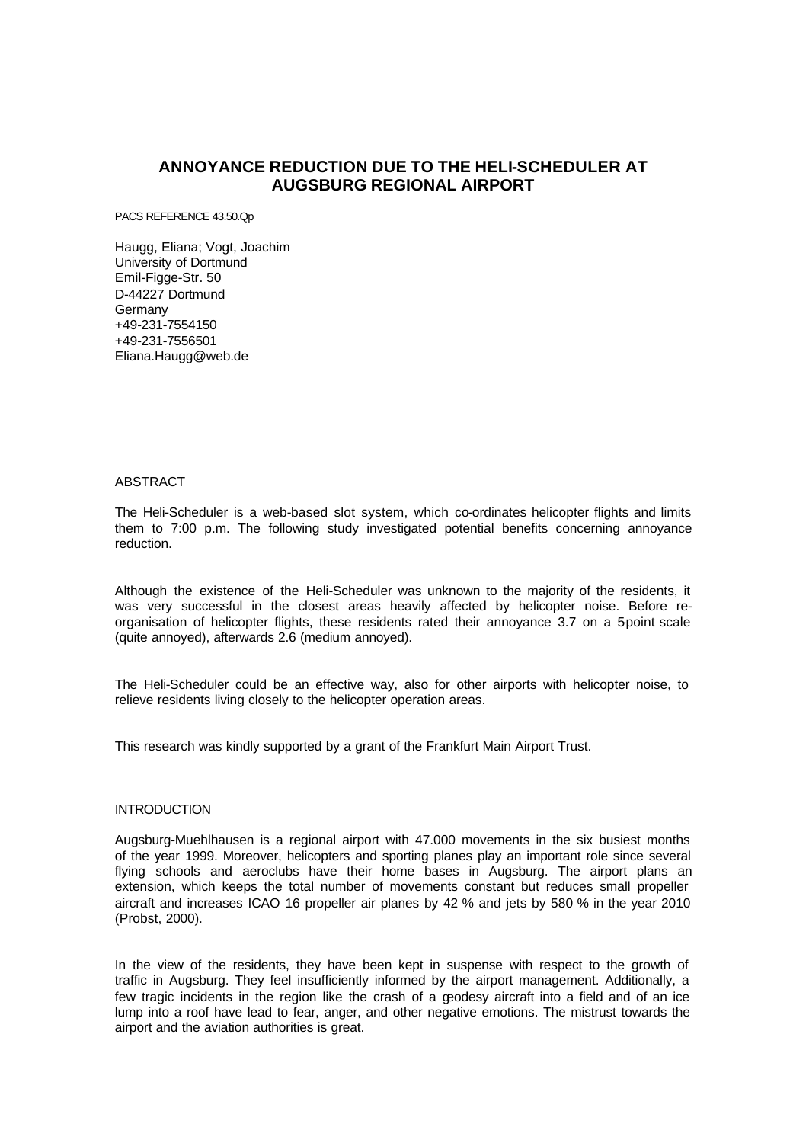# **ANNOYANCE REDUCTION DUE TO THE HELI-SCHEDULER AT AUGSBURG REGIONAL AIRPORT**

PACS REFERENCE 43.50.Qp

Haugg, Eliana; Vogt, Joachim University of Dortmund Emil-Figge-Str. 50 D-44227 Dortmund Germany +49-231-7554150 +49-231-7556501 Eliana.Haugg@web.de

## ABSTRACT

The Heli-Scheduler is a web-based slot system, which co-ordinates helicopter flights and limits them to 7:00 p.m. The following study investigated potential benefits concerning annoyance reduction.

Although the existence of the Heli-Scheduler was unknown to the majority of the residents, it was very successful in the closest areas heavily affected by helicopter noise. Before reorganisation of helicopter flights, these residents rated their annoyance 3.7 on a 5-point scale (quite annoyed), afterwards 2.6 (medium annoyed).

The Heli-Scheduler could be an effective way, also for other airports with helicopter noise, to relieve residents living closely to the helicopter operation areas.

This research was kindly supported by a grant of the Frankfurt Main Airport Trust.

## **INTRODUCTION**

Augsburg-Muehlhausen is a regional airport with 47.000 movements in the six busiest months of the year 1999. Moreover, helicopters and sporting planes play an important role since several flying schools and aeroclubs have their home bases in Augsburg. The airport plans an extension, which keeps the total number of movements constant but reduces small propeller aircraft and increases ICAO 16 propeller air planes by 42 % and jets by 580 % in the year 2010 (Probst, 2000).

In the view of the residents, they have been kept in suspense with respect to the growth of traffic in Augsburg. They feel insufficiently informed by the airport management. Additionally, a few tragic incidents in the region like the crash of a geodesy aircraft into a field and of an ice lump into a roof have lead to fear, anger, and other negative emotions. The mistrust towards the airport and the aviation authorities is great.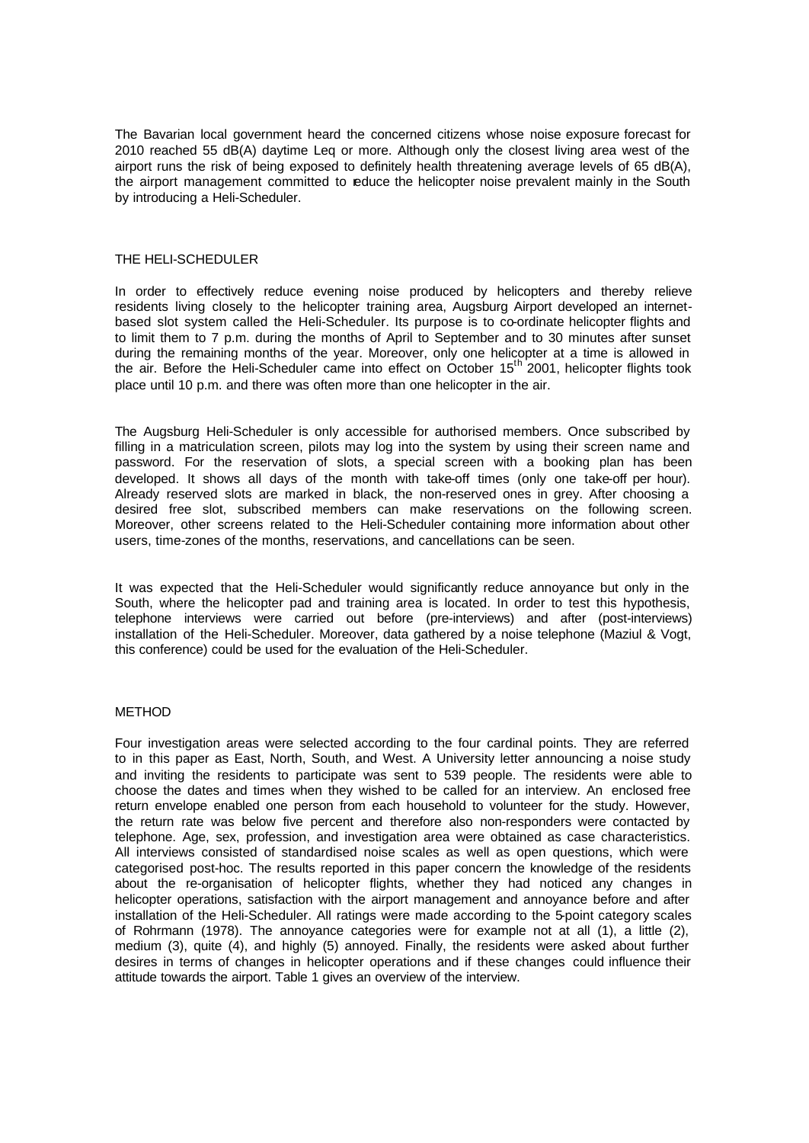The Bavarian local government heard the concerned citizens whose noise exposure forecast for 2010 reached 55 dB(A) daytime Leq or more. Although only the closest living area west of the airport runs the risk of being exposed to definitely health threatening average levels of 65 dB(A), the airport management committed to reduce the helicopter noise prevalent mainly in the South by introducing a Heli-Scheduler.

### THE HELI-SCHEDULER

In order to effectively reduce evening noise produced by helicopters and thereby relieve residents living closely to the helicopter training area, Augsburg Airport developed an internetbased slot system called the Heli-Scheduler. Its purpose is to co-ordinate helicopter flights and to limit them to 7 p.m. during the months of April to September and to 30 minutes after sunset during the remaining months of the year. Moreover, only one helicopter at a time is allowed in the air. Before the Heli-Scheduler came into effect on October 15<sup>th</sup> 2001, helicopter flights took place until 10 p.m. and there was often more than one helicopter in the air.

The Augsburg Heli-Scheduler is only accessible for authorised members. Once subscribed by filling in a matriculation screen, pilots may log into the system by using their screen name and password. For the reservation of slots, a special screen with a booking plan has been developed. It shows all days of the month with take-off times (only one take-off per hour). Already reserved slots are marked in black, the non-reserved ones in grey. After choosing a desired free slot, subscribed members can make reservations on the following screen. Moreover, other screens related to the Heli-Scheduler containing more information about other users, time-zones of the months, reservations, and cancellations can be seen.

It was expected that the Heli-Scheduler would significantly reduce annoyance but only in the South, where the helicopter pad and training area is located. In order to test this hypothesis, telephone interviews were carried out before (pre-interviews) and after (post-interviews) installation of the Heli-Scheduler. Moreover, data gathered by a noise telephone (Maziul & Vogt, this conference) could be used for the evaluation of the Heli-Scheduler.

### METHOD

Four investigation areas were selected according to the four cardinal points. They are referred to in this paper as East, North, South, and West. A University letter announcing a noise study and inviting the residents to participate was sent to 539 people. The residents were able to choose the dates and times when they wished to be called for an interview. An enclosed free return envelope enabled one person from each household to volunteer for the study. However, the return rate was below five percent and therefore also non-responders were contacted by telephone. Age, sex, profession, and investigation area were obtained as case characteristics. All interviews consisted of standardised noise scales as well as open questions, which were categorised post-hoc. The results reported in this paper concern the knowledge of the residents about the re-organisation of helicopter flights, whether they had noticed any changes in helicopter operations, satisfaction with the airport management and annoyance before and after installation of the Heli-Scheduler. All ratings were made according to the 5-point category scales of Rohrmann (1978). The annoyance categories were for example not at all (1), a little (2), medium (3), quite (4), and highly (5) annoyed. Finally, the residents were asked about further desires in terms of changes in helicopter operations and if these changes could influence their attitude towards the airport. Table 1 gives an overview of the interview.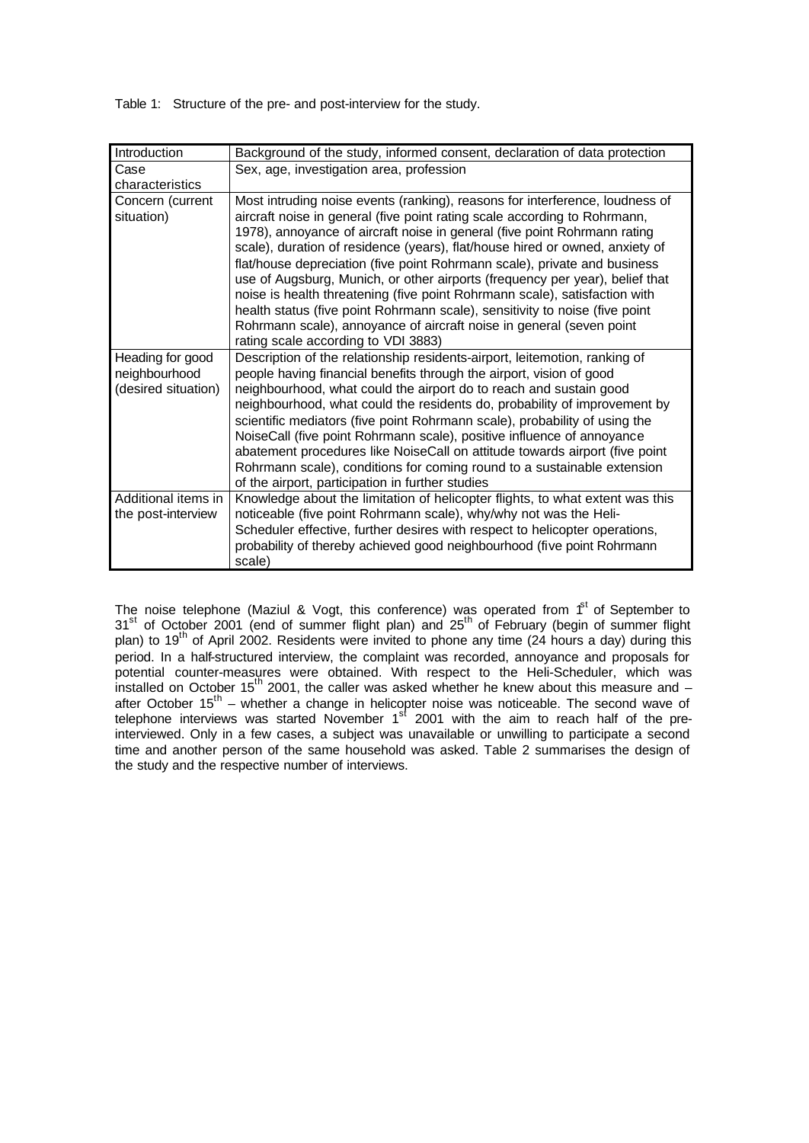Table 1: Structure of the pre- and post-interview for the study.

| Introduction        | Background of the study, informed consent, declaration of data protection                                                                       |  |  |  |  |
|---------------------|-------------------------------------------------------------------------------------------------------------------------------------------------|--|--|--|--|
| Case                | Sex, age, investigation area, profession                                                                                                        |  |  |  |  |
| characteristics     |                                                                                                                                                 |  |  |  |  |
| Concern (current    | Most intruding noise events (ranking), reasons for interference, loudness of                                                                    |  |  |  |  |
| situation)          | aircraft noise in general (five point rating scale according to Rohrmann,                                                                       |  |  |  |  |
|                     | 1978), annoyance of aircraft noise in general (five point Rohrmann rating                                                                       |  |  |  |  |
|                     | scale), duration of residence (years), flat/house hired or owned, anxiety of                                                                    |  |  |  |  |
|                     | flat/house depreciation (five point Rohrmann scale), private and business                                                                       |  |  |  |  |
|                     | use of Augsburg, Munich, or other airports (frequency per year), belief that                                                                    |  |  |  |  |
|                     | noise is health threatening (five point Rohrmann scale), satisfaction with                                                                      |  |  |  |  |
|                     | health status (five point Rohrmann scale), sensitivity to noise (five point                                                                     |  |  |  |  |
|                     | Rohrmann scale), annoyance of aircraft noise in general (seven point                                                                            |  |  |  |  |
|                     | rating scale according to VDI 3883)                                                                                                             |  |  |  |  |
| Heading for good    | Description of the relationship residents-airport, leitemotion, ranking of                                                                      |  |  |  |  |
| neighbourhood       | people having financial benefits through the airport, vision of good                                                                            |  |  |  |  |
| (desired situation) | neighbourhood, what could the airport do to reach and sustain good<br>neighbourhood, what could the residents do, probability of improvement by |  |  |  |  |
|                     | scientific mediators (five point Rohrmann scale), probability of using the                                                                      |  |  |  |  |
|                     | NoiseCall (five point Rohrmann scale), positive influence of annoyance                                                                          |  |  |  |  |
|                     | abatement procedures like NoiseCall on attitude towards airport (five point                                                                     |  |  |  |  |
|                     | Rohrmann scale), conditions for coming round to a sustainable extension                                                                         |  |  |  |  |
|                     | of the airport, participation in further studies                                                                                                |  |  |  |  |
| Additional items in | Knowledge about the limitation of helicopter flights, to what extent was this                                                                   |  |  |  |  |
| the post-interview  | noticeable (five point Rohrmann scale), why/why not was the Heli-                                                                               |  |  |  |  |
|                     | Scheduler effective, further desires with respect to helicopter operations,                                                                     |  |  |  |  |
|                     | probability of thereby achieved good neighbourhood (five point Rohrmann                                                                         |  |  |  |  |
|                     | scale)                                                                                                                                          |  |  |  |  |

The noise telephone (Maziul & Vogt, this conference) was operated from  $f<sup>st</sup>$  of September to  $31<sup>st</sup>$  of October 2001 (end of summer flight plan) and  $25<sup>th</sup>$  of February (begin of summer flight plan) to 19th of April 2002. Residents were invited to phone any time (24 hours a day) during this period. In a half-structured interview, the complaint was recorded, annoyance and proposals for potential counter-measures were obtained. With respect to the Heli-Scheduler, which was installed on October 15<sup>th</sup> 2001, the caller was asked whether he knew about this measure and after October 15<sup>th</sup> – whether a change in helicopter noise was noticeable. The second wave of telephone interviews was started November 1<sup>st</sup> 2001 with the aim to reach half of the preinterviewed. Only in a few cases, a subject was unavailable or unwilling to participate a second time and another person of the same household was asked. Table 2 summarises the design of the study and the respective number of interviews.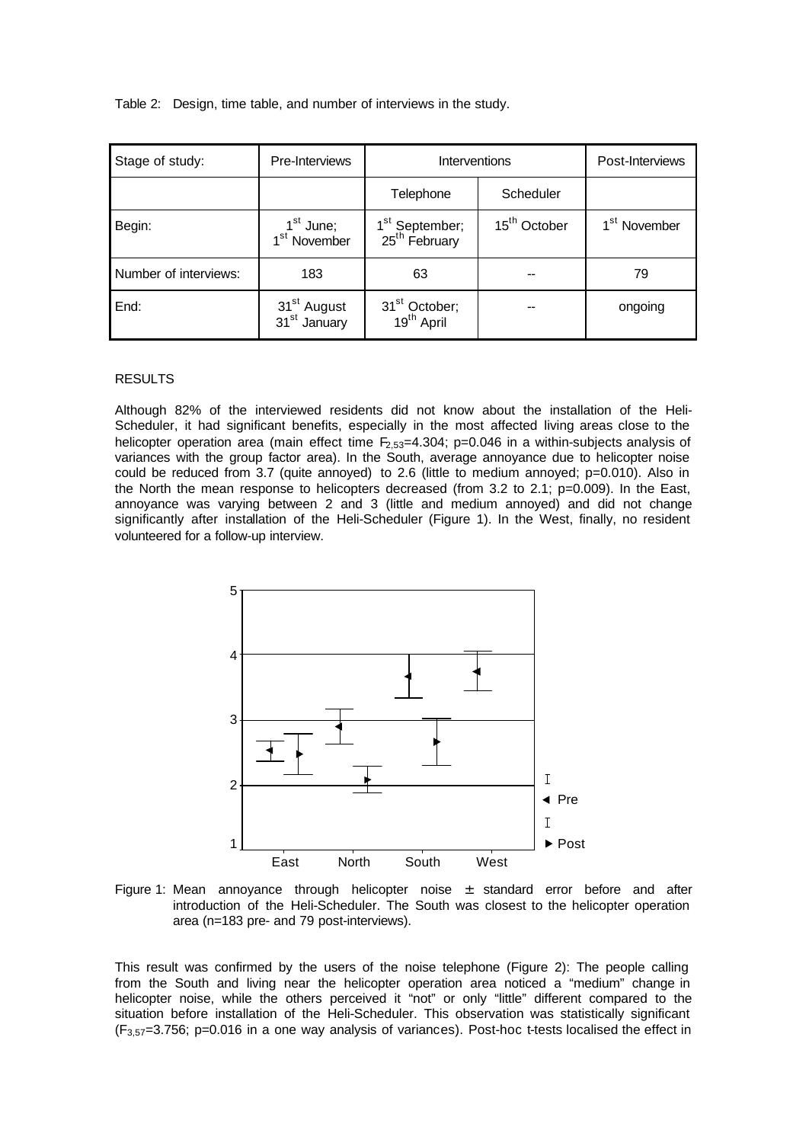Table 2: Design, time table, and number of interviews in the study.

| Stage of study:       | Pre-Interviews                                      | Interventions                                           |                          | Post-Interviews          |
|-----------------------|-----------------------------------------------------|---------------------------------------------------------|--------------------------|--------------------------|
|                       |                                                     | Telephone                                               | Scheduler                |                          |
| Begin:                | 1 <sup>st</sup> June;<br>1 <sup>st</sup> November   | 1 <sup>st</sup> September;<br>25 <sup>th</sup> February | 15 <sup>th</sup> October | 1 <sup>st</sup> November |
| Number of interviews: | 183                                                 | 63                                                      |                          | 79                       |
| End:                  | 31 <sup>st</sup> August<br>31 <sup>st</sup> January | 31 <sup>st</sup> October;<br>19 <sup>th</sup> April     |                          | ongoing                  |

## RESULTS

Although 82% of the interviewed residents did not know about the installation of the Heli-Scheduler, it had significant benefits, especially in the most affected living areas close to the helicopter operation area (main effect time  $F_{2,53}=4.304$ ; p=0.046 in a within-subjects analysis of variances with the group factor area). In the South, average annoyance due to helicopter noise could be reduced from 3.7 (quite annoyed) to 2.6 (little to medium annoyed; p=0.010). Also in the North the mean response to helicopters decreased (from 3.2 to 2.1; p=0.009). In the East, annoyance was varying between 2 and 3 (little and medium annoyed) and did not change significantly after installation of the Heli-Scheduler (Figure 1). In the West, finally, no resident volunteered for a follow-up interview.



Figure 1: Mean annoyance through helicopter noise  $\pm$  standard error before and after introduction of the Heli-Scheduler. The South was closest to the helicopter operation area (n=183 pre- and 79 post-interviews).

This result was confirmed by the users of the noise telephone (Figure 2): The people calling from the South and living near the helicopter operation area noticed a "medium" change in helicopter noise, while the others perceived it "not" or only "little" different compared to the situation before installation of the Heli-Scheduler. This observation was statistically significant (F3,57=3.756; p=0.016 in a one way analysis of variances). Post-hoc t-tests localised the effect in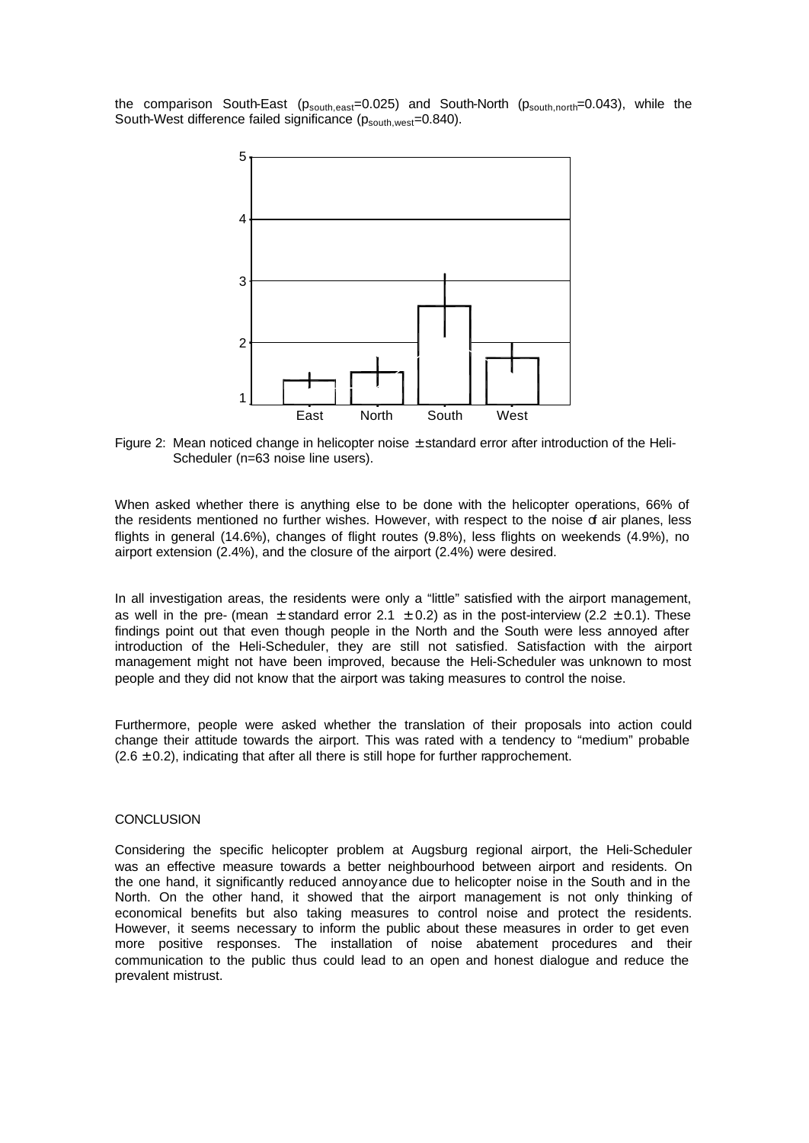the comparison South-East (p<sub>south,east</sub>=0.025) and South-North (p<sub>south,north</sub>=0.043), while the South-West difference failed significance (p<sub>south,west</sub>=0.840).



Figure 2: Mean noticed change in helicopter noise  $\pm$  standard error after introduction of the Heli-Scheduler (n=63 noise line users).

When asked whether there is anything else to be done with the helicopter operations, 66% of the residents mentioned no further wishes. However, with respect to the noise  $d$  air planes, less flights in general (14.6%), changes of flight routes (9.8%), less flights on weekends (4.9%), no airport extension (2.4%), and the closure of the airport (2.4%) were desired.

In all investigation areas, the residents were only a "little" satisfied with the airport management, as well in the pre- (mean  $\pm$  standard error 2.1  $\pm$  0.2) as in the post-interview (2.2  $\pm$  0.1). These findings point out that even though people in the North and the South were less annoyed after introduction of the Heli-Scheduler, they are still not satisfied. Satisfaction with the airport management might not have been improved, because the Heli-Scheduler was unknown to most people and they did not know that the airport was taking measures to control the noise.

Furthermore, people were asked whether the translation of their proposals into action could change their attitude towards the airport. This was rated with a tendency to "medium" probable  $(2.6 \pm 0.2)$ , indicating that after all there is still hope for further rapprochement.

#### **CONCLUSION**

Considering the specific helicopter problem at Augsburg regional airport, the Heli-Scheduler was an effective measure towards a better neighbourhood between airport and residents. On the one hand, it significantly reduced annoyance due to helicopter noise in the South and in the North. On the other hand, it showed that the airport management is not only thinking of economical benefits but also taking measures to control noise and protect the residents. However, it seems necessary to inform the public about these measures in order to get even more positive responses. The installation of noise abatement procedures and their communication to the public thus could lead to an open and honest dialogue and reduce the prevalent mistrust.